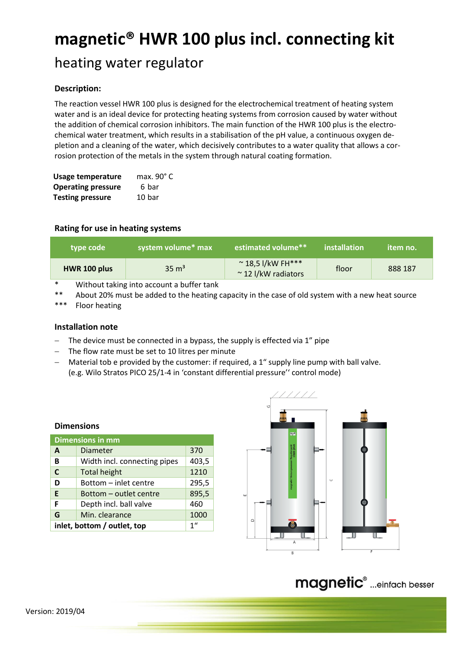# **magnetic® HWR 100 plus incl. connecting kit**

## heating water regulator

## **Description:**

The reaction vessel HWR 100 plus is designed for the electrochemical treatment of heating system water and is an ideal device for protecting heating systems from corrosion caused by water without the addition of chemical corrosion inhibitors. The main function of the HWR 100 plus is the electrochemical water treatment, which results in a stabilisation of the pH value, a continuous oxygen depletion and a cleaning of the water, which decisively contributes to a water quality that allows a corrosion protection of the metals in the system through natural coating formation.

| <b>Usage temperature</b>  | max. $90^{\circ}$ C |
|---------------------------|---------------------|
| <b>Operating pressure</b> | 6 bar               |
| <b>Testing pressure</b>   | 10 bar              |

## **Rating for use in heating systems**

| l type code ' | system volume* max | estimated volume**                                    | installation | item no. |
|---------------|--------------------|-------------------------------------------------------|--------------|----------|
| HWR 100 plus  | $35 \text{ m}^3$   | $\sim$ 18,5 l/kW FH***<br>$\approx$ 12 I/kW radiators | floor        | 888 187  |

Without taking into account a buffer tank

\*\* About 20% must be added to the heating capacity in the case of old system with a new heat source

\*\*\* Floor heating

## **Installation note**

- $-$  The device must be connected in a bypass, the supply is effected via 1" pipe
- The flow rate must be set to 10 litres per minute
- Material tob e provided by the customer: if required, a 1" supply line pump with ball valve. (e.g. Wilo Stratos PICO 25/1-4 in 'constant differential pressure'' control mode)

| <b>Dimensions</b>           |                              |                 |  |  |
|-----------------------------|------------------------------|-----------------|--|--|
| <b>Dimensions in mm</b>     |                              |                 |  |  |
| A                           | <b>Diameter</b>              | 370             |  |  |
| В                           | Width incl. connecting pipes | 403,5           |  |  |
| $\mathbf C$                 | <b>Total height</b>          | 1210            |  |  |
| D                           | Bottom - inlet centre        | 295,5           |  |  |
| E                           | Bottom – outlet centre       | 895,5           |  |  |
| F                           | Depth incl. ball valve       | 460             |  |  |
| G                           | Min. clearance               | 1000            |  |  |
| inlet, bottom / outlet, top |                              | 1 <sup>''</sup> |  |  |



# magnetic<sup>®</sup> ...einfach besser